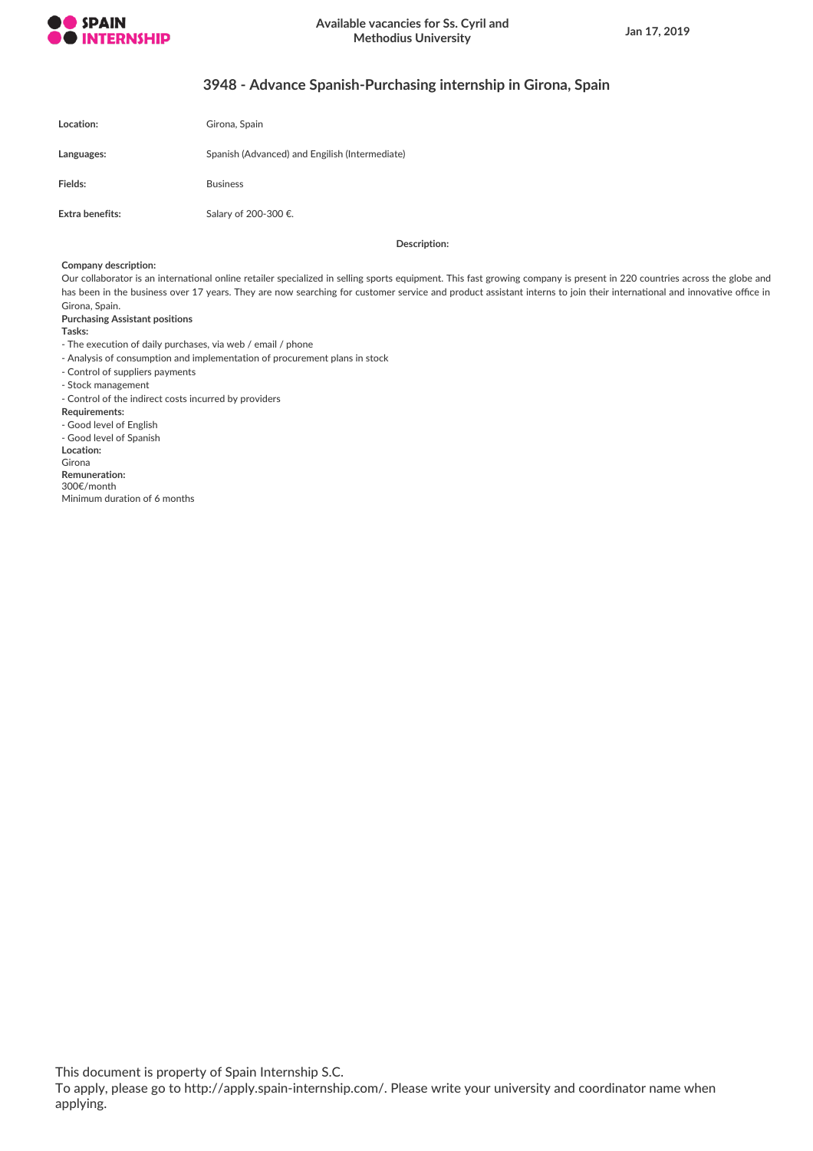

# **3948 - Advance Spanish-Purchasing internship in Girona, Spain**

| Location:       | Girona, Spain                                  |
|-----------------|------------------------------------------------|
| Languages:      | Spanish (Advanced) and Engilish (Intermediate) |
| Fields:         | <b>Business</b>                                |
| Extra benefits: | Salary of 200-300 €.                           |

**Description:**

#### **Company description:**

Our collaborator is an international online retailer specialized in selling sports equipment. This fast growing company is present in 220 countries across the globe and has been in the business over 17 years. They are now searching for customer service and product assistant interns to join their international and innovative office in Girona, Spain.

## **Purchasing Assistant positions**

**Tasks:**

- The execution of daily purchases, via web / email / phone
- Analysis of consumption and implementation of procurement plans in stock
- Control of suppliers payments
- Stock management
- Control of the indirect costs incurred by providers

**Requirements:**

- Good level of English
- Good level of Spanish

**Location:**

Girona **Remuneration:**

300€/month Minimum duration of 6 months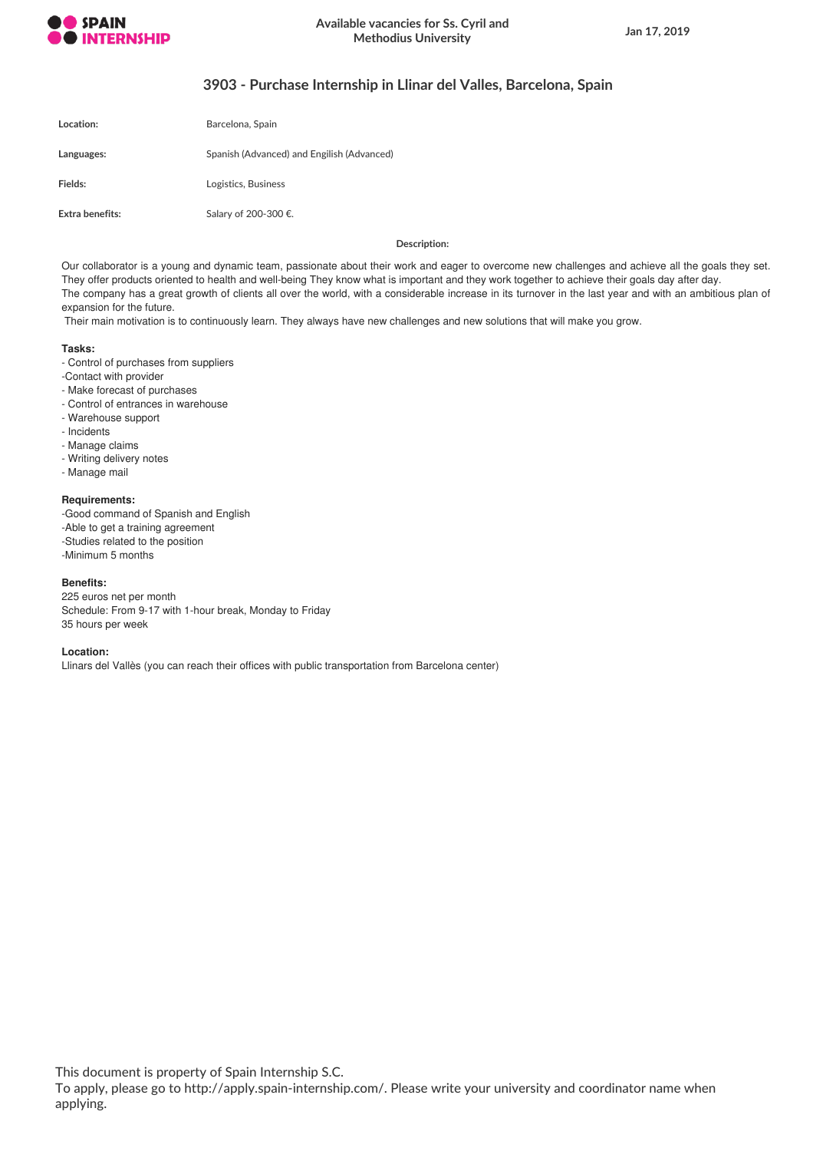

# **3903 - Purchase Internship in Llinar del Valles, Barcelona, Spain**

| Location:       | Barcelona, Spain                           |
|-----------------|--------------------------------------------|
| Languages:      | Spanish (Advanced) and Engilish (Advanced) |
| Fields:         | Logistics, Business                        |
| Extra benefits: | Salary of 200-300 €.                       |

**Description:**

Our collaborator is a young and dynamic team, passionate about their work and eager to overcome new challenges and achieve all the goals they set. They offer products oriented to health and well-being They know what is important and they work together to achieve their goals day after day. The company has a great growth of clients all over the world, with a considerable increase in its turnover in the last year and with an ambitious plan of expansion for the future.

Their main motivation is to continuously learn. They always have new challenges and new solutions that will make you grow.

### **Tasks:**

- Control of purchases from suppliers
- -Contact with provider
- Make forecast of purchases
- Control of entrances in warehouse
- Warehouse support
- Incidents
- Manage claims
- Writing delivery notes
- Manage mail

## **Requirements:**

-Good command of Spanish and English -Able to get a training agreement -Studies related to the position -Minimum 5 months

### **Benefits:**

225 euros net per month Schedule: From 9-17 with 1-hour break, Monday to Friday 35 hours per week

### **Location:**

Llinars del Vallès (you can reach their offices with public transportation from Barcelona center)

This document is property of Spain Internship S.C.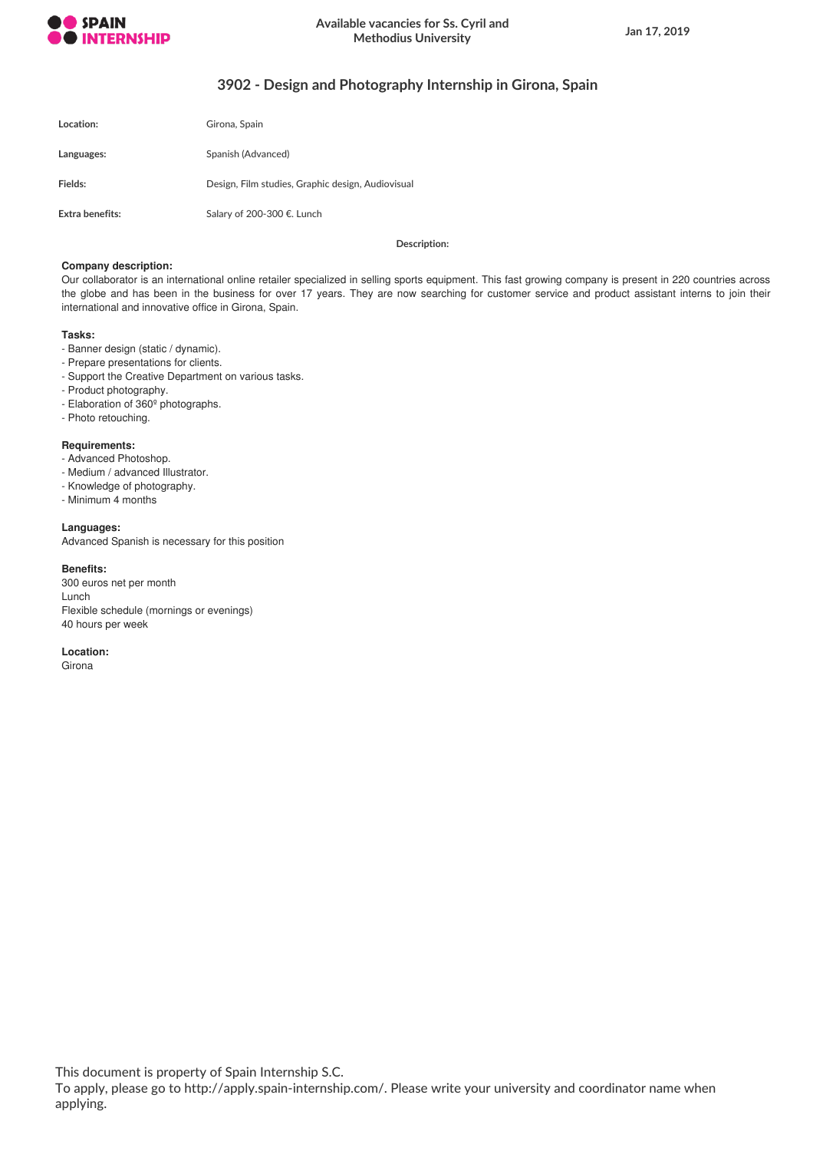

# **3902 - Design and Photography Internship in Girona, Spain**

| Location:       | Girona, Spain                                     |
|-----------------|---------------------------------------------------|
| Languages:      | Spanish (Advanced)                                |
| Fields:         | Design, Film studies, Graphic design, Audiovisual |
| Extra benefits: | Salary of 200-300 €. Lunch                        |

**Description:**

## **Company description:**

Our collaborator is an international online retailer specialized in selling sports equipment. This fast growing company is present in 220 countries across the globe and has been in the business for over 17 years. They are now searching for customer service and product assistant interns to join their international and innovative office in Girona, Spain.

#### **Tasks:**

- Banner design (static / dynamic).
- Prepare presentations for clients.
- Support the Creative Department on various tasks.
- Product photography.
- Elaboration of 360º photographs.
- Photo retouching.

## **Requirements:**

- Advanced Photoshop.
- Medium / advanced Illustrator.
- Knowledge of photography.
- Minimum 4 months

## **Languages:**

Advanced Spanish is necessary for this position

## **Benefits:**

300 euros net per month Lunch Flexible schedule (mornings or evenings) 40 hours per week

**Location:**

Girona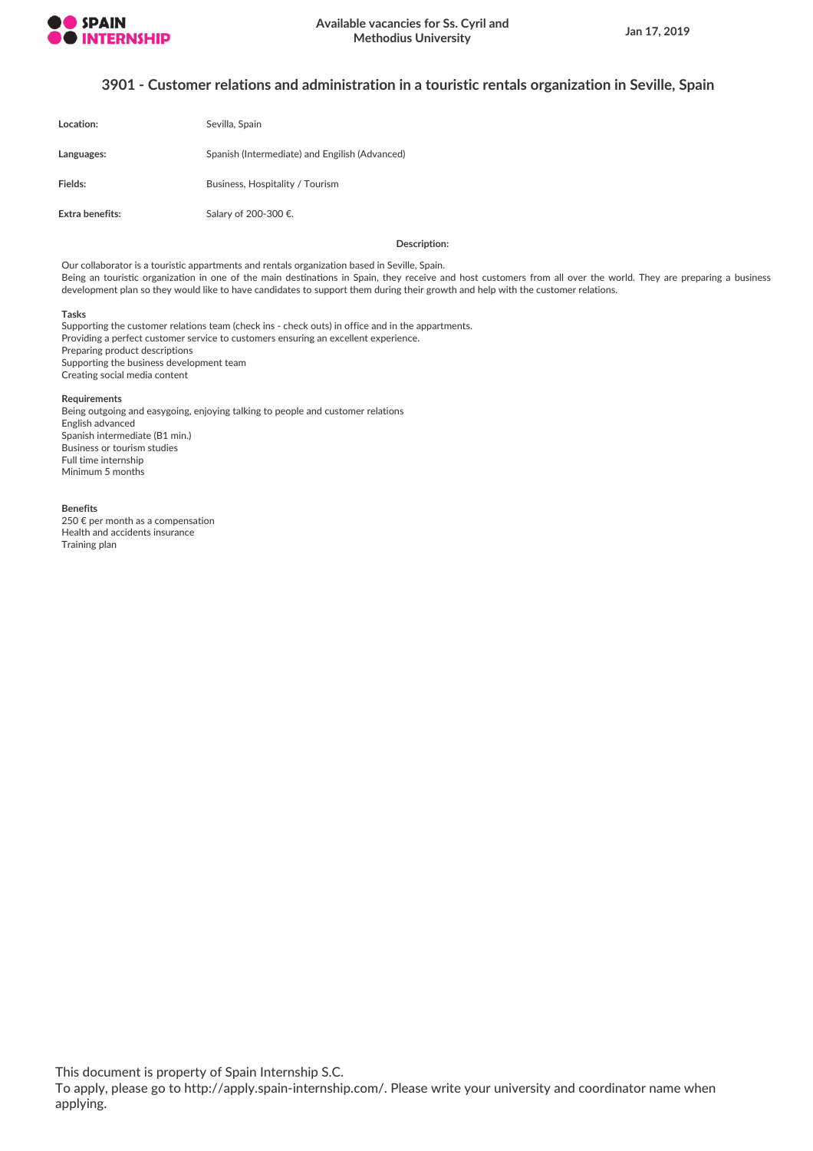

# **3901 - Customer relations and administration in a touristic rentals organization in Seville, Spain**

| Location:       | Sevilla, Spain                                 |
|-----------------|------------------------------------------------|
| Languages:      | Spanish (Intermediate) and Engilish (Advanced) |
| Fields:         | Business, Hospitality / Tourism                |
| Extra benefits: | Salary of 200-300 €.                           |

**Description:**

Our collaborator is a touristic appartments and rentals organization based in Seville, Spain. Being an touristic organization in one of the main destinations in Spain, they receive and host customers from all over the world. They are preparing a business development plan so they would like to have candidates to support them during their growth and help with the customer relations.

#### **Tasks**

Supporting the customer relations team (check ins - check outs) in office and in the appartments. Providing a perfect customer service to customers ensuring an excellent experience. Preparing product descriptions Supporting the business development team Creating social media content

### **Requirements**

Being outgoing and easygoing, enjoying talking to people and customer relations English advanced Spanish intermediate (B1 min.) Business or tourism studies Full time internship Minimum 5 months

#### **Benefits**

250 € per month as a compensation Health and accidents insurance Training plan

This document is property of Spain Internship S.C.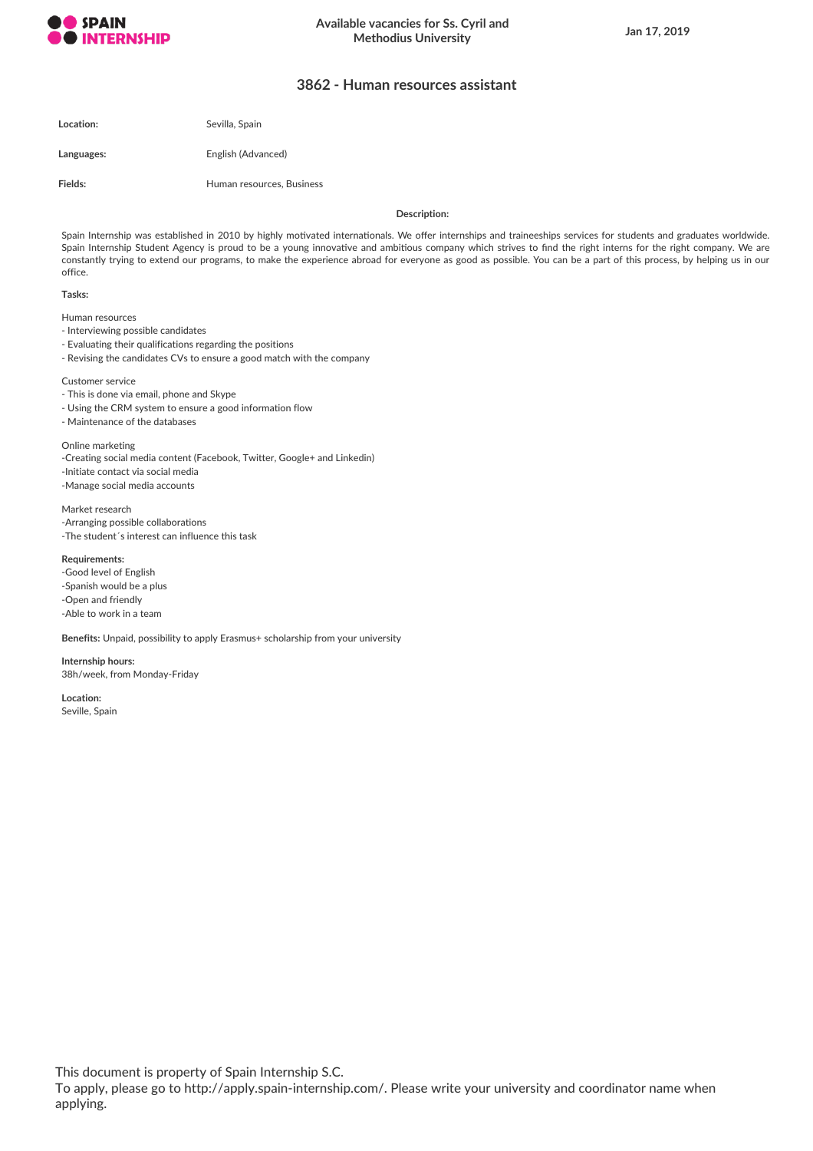

## **3862 - Human resources assistant**

| Location:      | Sevilla, Spain            |
|----------------|---------------------------|
| Languages:     | English (Advanced)        |
| <b>Fields:</b> | Human resources, Business |

**Description:**

Spain Internship was established in 2010 by highly motivated internationals. We offer internships and traineeships services for students and graduates worldwide. Spain Internship Student Agency is proud to be a young innovative and ambitious company which strives to find the right interns for the right company. We are constantly trying to extend our programs, to make the experience abroad for everyone as good as possible. You can be a part of this process, by helping us in our office.

#### **Tasks:**

Human resources

- Interviewing possible candidates
- Evaluating their qualifications regarding the positions
- Revising the candidates CVs to ensure a good match with the company

## Customer service

### - This is done via email, phone and Skype

- Using the CRM system to ensure a good information flow
- Maintenance of the databases

Online marketing -Creating social media content (Facebook, Twitter, Google+ and Linkedin) -Initiate contact via social media

-Manage social media accounts

Market research -Arranging possible collaborations -The student´s interest can influence this task

#### **Requirements:**

-Good level of English -Spanish would be a plus -Open and friendly -Able to work in a team

**Benefits:** Unpaid, possibility to apply Erasmus+ scholarship from your university

**Internship hours:** 38h/week, from Monday-Friday

**Location:** Seville, Spain

This document is property of Spain Internship S.C.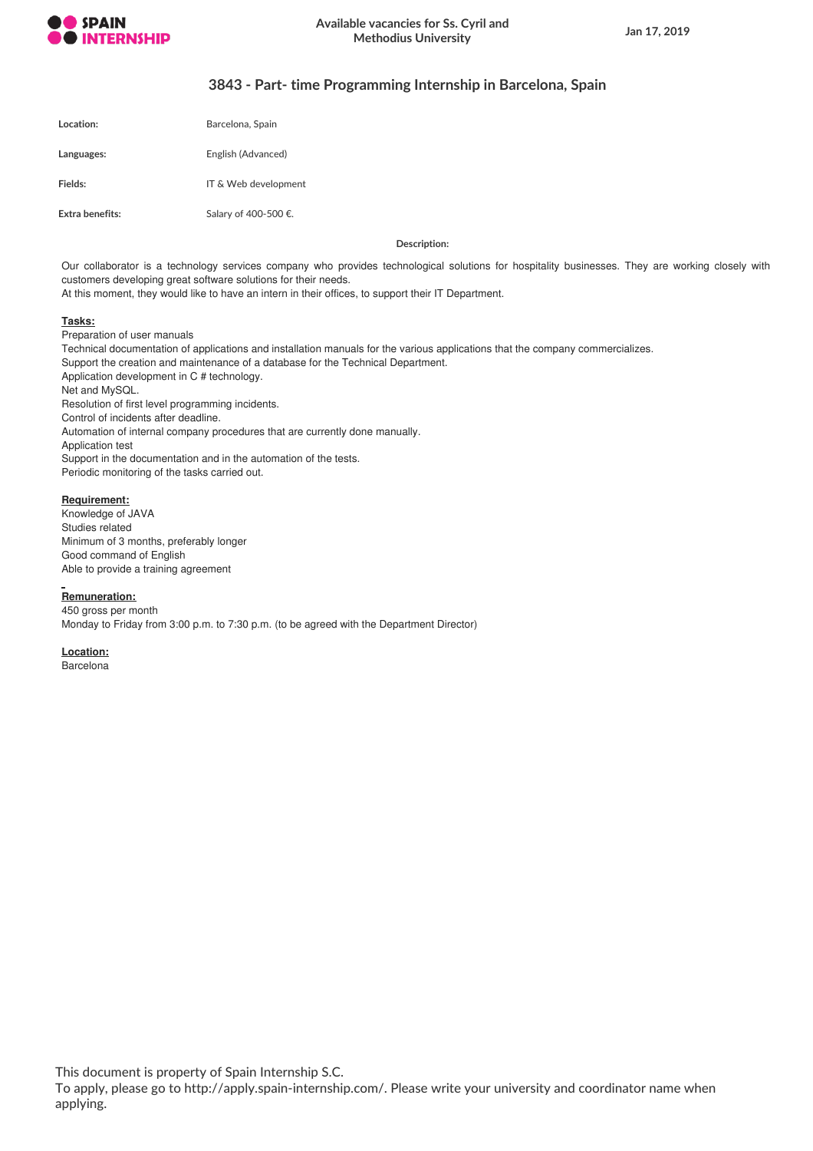

# **3843 - Part- time Programming Internship in Barcelona, Spain**

| Location:              | Barcelona, Spain     |
|------------------------|----------------------|
| Languages:             | English (Advanced)   |
| Fields:                | IT & Web development |
| <b>Extra benefits:</b> | Salary of 400-500 €. |

**Description:**

Our collaborator is a technology services company who provides technological solutions for hospitality businesses. They are working closely with customers developing great software solutions for their needs.

At this moment, they would like to have an intern in their offices, to support their IT Department.

## **Tasks:**

Preparation of user manuals Technical documentation of applications and installation manuals for the various applications that the company commercializes. Support the creation and maintenance of a database for the Technical Department. Application development in C # technology. Net and MySQL. Resolution of first level programming incidents. Control of incidents after deadline. Automation of internal company procedures that are currently done manually. Application test Support in the documentation and in the automation of the tests. Periodic monitoring of the tasks carried out.

# **Requirement:**

Knowledge of JAVA Studies related Minimum of 3 months, preferably longer Good command of English Able to provide a training agreement

### **Remuneration:**

450 gross per month Monday to Friday from 3:00 p.m. to 7:30 p.m. (to be agreed with the Department Director)

**Location:**

Barcelona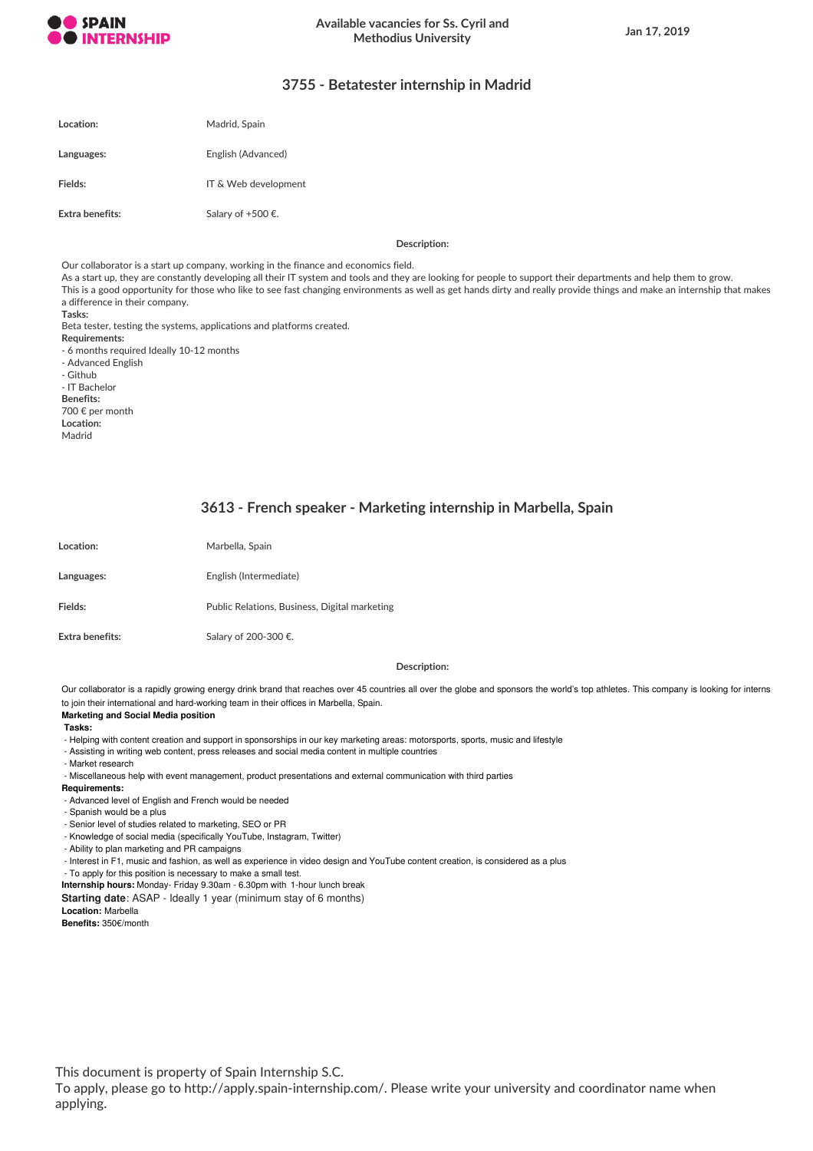

# **3755 - Betatester internship in Madrid**

| Location:       | Madrid, Spain        |
|-----------------|----------------------|
| Languages:      | English (Advanced)   |
| Fields:         | IT & Web development |
| Extra benefits: | Salary of +500 €.    |

**Description:**

Our collaborator is a start up company, working in the finance and economics field.

As a start up, they are constantly developing all their IT system and tools and they are looking for people to support their departments and help them to grow. This is a good opportunity for those who like to see fast changing environments as well as get hands dirty and really provide things and make an internship that makes a difference in their company.

**Tasks:**

Beta tester, testing the systems, applications and platforms created.

**Requirements:**

- 6 months required Ideally 10-12 months

- Advanced English

- Github

- IT Bachelor

**Benefits:**

700 € per month **Location:**

Madrid

# **3613 - French speaker - Marketing internship in Marbella, Spain**

| Location:       | Marbella, Spain                               |
|-----------------|-----------------------------------------------|
| Languages:      | English (Intermediate)                        |
| Fields:         | Public Relations, Business, Digital marketing |
| Extra benefits: | Salary of 200-300 €.                          |

#### **Description:**

Our collaborator is a rapidly growing energy drink brand that reaches over 45 countries all over the globe and sponsors the world's top athletes. This company is looking for interns to join their international and hard-working team in their offices in Marbella, Spain.

#### **Marketing and Social Media position**

**Tasks:**

- Helping with content creation and support in sponsorships in our key marketing areas: motorsports, sports, music and lifestyle

- Assisting in writing web content, press releases and social media content in multiple countries

- Market research

- Miscellaneous help with event management, product presentations and external communication with third parties

#### **Requirements:**

- Advanced level of English and French would be needed

- Spanish would be a plus
- Senior level of studies related to marketing, SEO or PR
- Knowledge of social media (specifically YouTube, Instagram, Twitter)
- Ability to plan marketing and PR campaigns

- Interest in F1, music and fashion, as well as experience in video design and YouTube content creation, is considered as a plus

- To apply for this position is necessary to make a small test.

**Internship hours:** Monday- Friday 9.30am - 6.30pm with 1-hour lunch break

**Starting date**: ASAP - Ideally 1 year (minimum stay of 6 months)

**Location:** Marbella

**Benefits:** 350€/month

This document is property of Spain Internship S.C.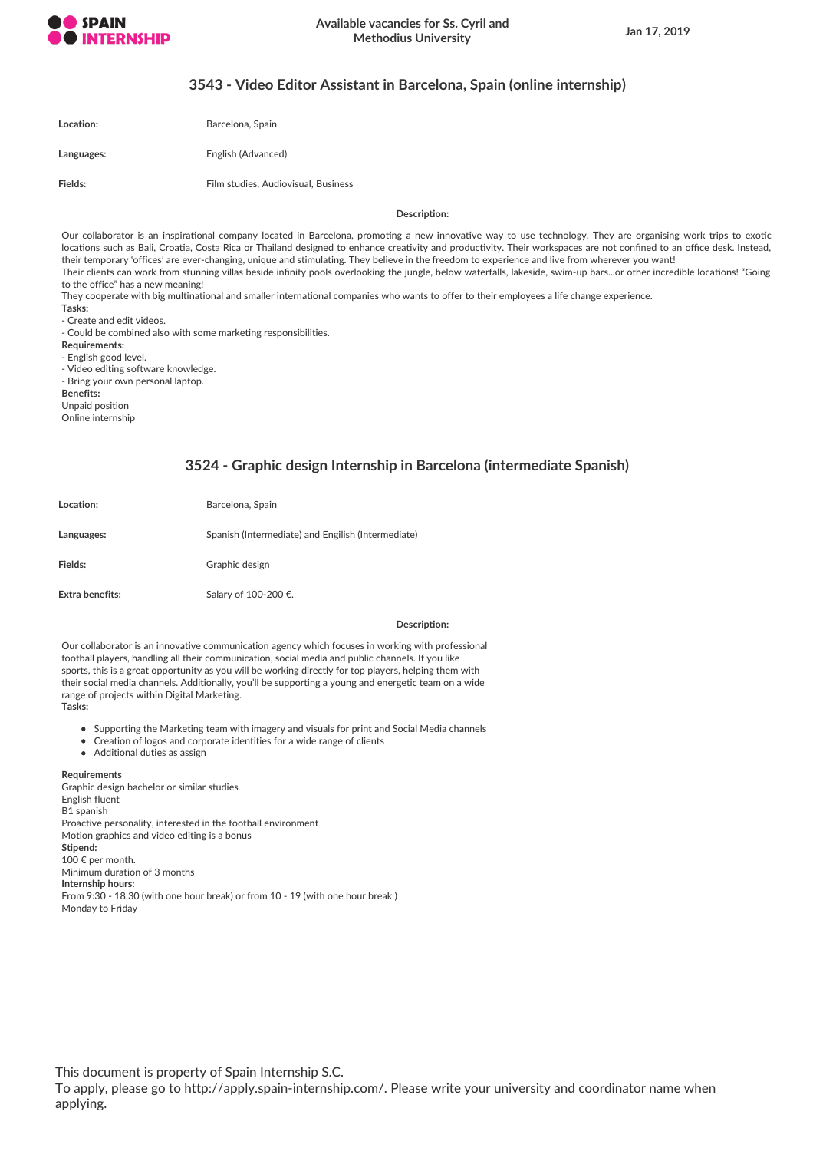

## **3543 - Video Editor Assistant in Barcelona, Spain (online internship)**

| Location:  | Barcelona, Spain                    |
|------------|-------------------------------------|
| Languages: | English (Advanced)                  |
| Fields:    | Film studies, Audiovisual, Business |

**Description:**

Our collaborator is an inspirational company located in Barcelona, promoting a new innovative way to use technology. They are organising work trips to exotic locations such as Bali, Croatia, Costa Rica or Thailand designed to enhance creativity and productivity. Their workspaces are not confined to an office desk. Instead, their temporary 'offices' are ever-changing, unique and stimulating. They believe in the freedom to experience and live from wherever you want! Their clients can work from stunning villas beside infinity pools overlooking the jungle, below waterfalls, lakeside, swim-up bars...or other incredible locations! "Going to the office" has a new meaning!

They cooperate with big multinational and smaller international companies who wants to offer to their employees a life change experience.

**Tasks:**

- Create and edit videos.

- Could be combined also with some marketing responsibilities.

**Requirements:**

- English good level.

- Video editing software knowledge.

- Bring your own personal laptop. **Benefits:**

Unpaid position

Online internship

# **3524 - Graphic design Internship in Barcelona (intermediate Spanish)**

| Location:       | Barcelona, Spain                                   |
|-----------------|----------------------------------------------------|
| Languages:      | Spanish (Intermediate) and Engilish (Intermediate) |
| Fields:         | Graphic design                                     |
| Extra benefits: | Salary of 100-200 €.                               |

**Description:**

Our collaborator is an innovative communication agency which focuses in working with professional football players, handling all their communication, social media and public channels. If you like sports, this is a great opportunity as you will be working directly for top players, helping them with their social media channels. Additionally, you'll be supporting a young and energetic team on a wide range of projects within Digital Marketing.

**Tasks:**

- Supporting the Marketing team with imagery and visuals for print and Social Media channels
- Creation of logos and corporate identities for a wide range of clients
- Additional duties as assign

#### **Requirements**

Graphic design bachelor or similar studies English fluent B1 spanish Proactive personality, interested in the football environment Motion graphics and video editing is a bonus **Stipend:** 100 € per month. Minimum duration of 3 months **Internship hours:** From 9:30 - 18:30 (with one hour break) or from 10 - 19 (with one hour break ) Monday to Friday

This document is property of Spain Internship S.C.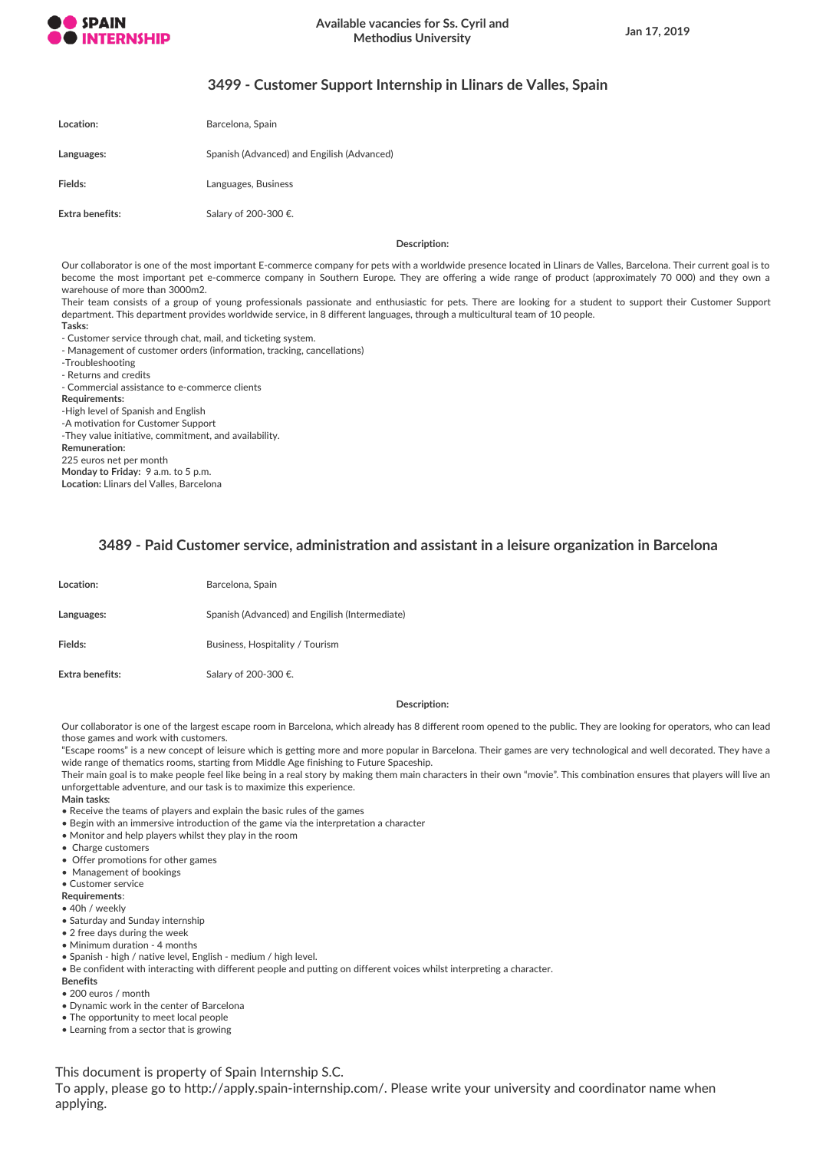

# **3499 - Customer Support Internship in Llinars de Valles, Spain**

| Location:              | Barcelona, Spain                           |
|------------------------|--------------------------------------------|
| Languages:             | Spanish (Advanced) and Engilish (Advanced) |
| Fields:                | Languages, Business                        |
| <b>Extra benefits:</b> | Salary of 200-300 €.                       |

**Description:**

Our collaborator is one of the most important E-commerce company for pets with a worldwide presence located in Llinars de Valles, Barcelona. Their current goal is to become the most important pet e-commerce company in Southern Europe. They are offering a wide range of product (approximately 70 000) and they own a warehouse of more than 3000m2.

Their team consists of a group of young professionals passionate and enthusiastic for pets. There are looking for a student to support their Customer Support department. This department provides worldwide service, in 8 different languages, through a multicultural team of 10 people.

**Tasks:**

- Customer service through chat, mail, and ticketing system.

- Management of customer orders (information, tracking, cancellations)

-Troubleshooting

- Returns and credits

- Commercial assistance to e-commerce clients

**Requirements:**

-High level of Spanish and English

-A motivation for Customer Support

-They value initiative, commitment, and availability. **Remuneration:**

225 euros net per month

**Monday to Friday:** 9 a.m. to 5 p.m.

**Location:** Llinars del Valles, Barcelona

# **3489 - Paid Customer service, administration and assistant in a leisure organization in Barcelona**

| Location:       | Barcelona, Spain                               |
|-----------------|------------------------------------------------|
| Languages:      | Spanish (Advanced) and Engilish (Intermediate) |
| Fields:         | Business, Hospitality / Tourism                |
| Extra benefits: | Salary of 200-300 €.                           |

**Description:**

Our collaborator is one of the largest escape room in Barcelona, which already has 8 different room opened to the public. They are looking for operators, who can lead those games and work with customers.

"Escape rooms" is a new concept of leisure which is getting more and more popular in Barcelona. Their games are very technological and well decorated. They have a wide range of thematics rooms, starting from Middle Age finishing to Future Spaceship.

Their main goal is to make people feel like being in a real story by making them main characters in their own "movie". This combination ensures that players will live an unforgettable adventure, and our task is to maximize this experience.

**Main tasks**:

• Receive the teams of players and explain the basic rules of the games

- Begin with an immersive introduction of the game via the interpretation a character
- Monitor and help players whilst they play in the room
- Charge customers
- Offer promotions for other games
- Management of bookings
- Customer service

**Requirements**:

• 40h / weekly

- Saturday and Sunday internship
- 2 free days during the week
- Minimum duration 4 months
- Spanish high / native level, English medium / high level.
- Be confident with interacting with different people and putting on different voices whilst interpreting a character.

**Benefits**

- 200 euros / month
- Dynamic work in the center of Barcelona
- The opportunity to meet local people
- Learning from a sector that is growing

This document is property of Spain Internship S.C.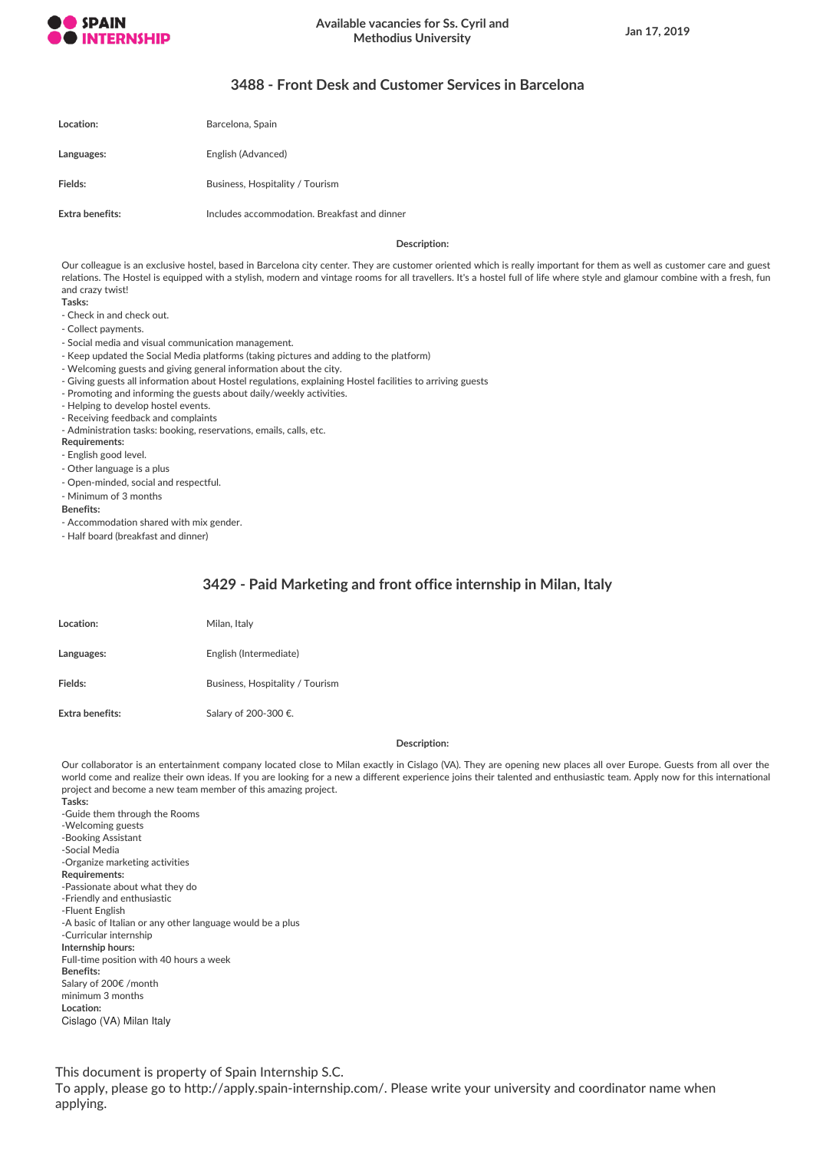

# **3488 - Front Desk and Customer Services in Barcelona**

| Location:       | Barcelona, Spain                             |
|-----------------|----------------------------------------------|
| Languages:      | English (Advanced)                           |
| Fields:         | Business, Hospitality / Tourism              |
| Extra benefits: | Includes accommodation. Breakfast and dinner |

#### **Description:**

Our colleague is an exclusive hostel, based in Barcelona city center. They are customer oriented which is really important for them as well as customer care and guest relations. The Hostel is equipped with a stylish, modern and vintage rooms for all travellers. It's a hostel full of life where style and glamour combine with a fresh, fun and crazy twist!

- **Tasks:**
- Check in and check out.
- Collect payments.
- Social media and visual communication management.
- Keep updated the Social Media platforms (taking pictures and adding to the platform)
- Welcoming guests and giving general information about the city.
- Giving guests all information about Hostel regulations, explaining Hostel facilities to arriving guests
- Promoting and informing the guests about daily/weekly activities.
- Helping to develop hostel events.
- Receiving feedback and complaints
- Administration tasks: booking, reservations, emails, calls, etc.

## **Requirements:**

- English good level.
- Other language is a plus
- Open-minded, social and respectful.
- Minimum of 3 months

#### **Benefits:**

- Accommodation shared with mix gender.
- Half board (breakfast and dinner)

## **3429 - Paid Marketing and front office internship in Milan, Italy**

| Location:       | Milan, Italy                    |
|-----------------|---------------------------------|
| Languages:      | English (Intermediate)          |
| Fields:         | Business, Hospitality / Tourism |
| Extra benefits: | Salary of 200-300 €.            |

## **Description:**

Our collaborator is an entertainment company located close to Milan exactly in Cislago (VA). They are opening new places all over Europe. Guests from all over the world come and realize their own ideas. If you are looking for a new a different experience joins their talented and enthusiastic team. Apply now for this international project and become a new team member of this amazing project.

**Tasks:** -Guide them through the Rooms -Welcoming guests -Booking Assistant -Social Media -Organize marketing activities **Requirements:** -Passionate about what they do -Friendly and enthusiastic -Fluent English -A basic of Italian or any other language would be a plus -Curricular internship **Internship hours:** Full-time position with 40 hours a week **Benefits:** Salary of 200€ /month minimum 3 months **Location:** Cislago (VA) Milan Italy

This document is property of Spain Internship S.C.